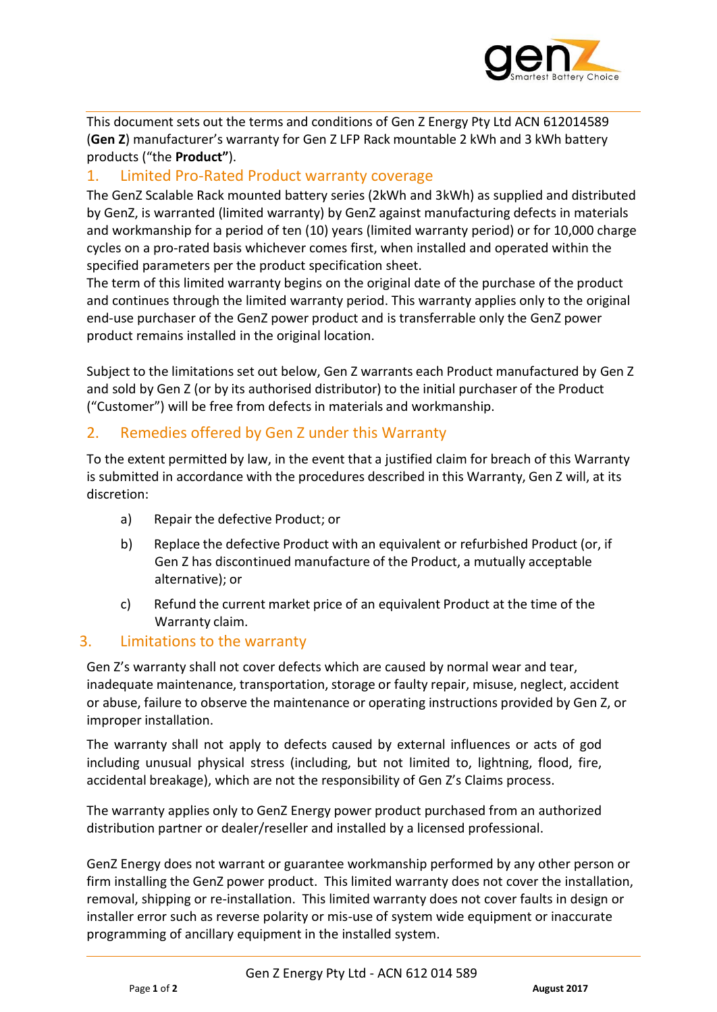

This document sets out the terms and conditions of Gen Z Energy Pty Ltd ACN 612014589 (**Gen Z**) manufacturer's warranty for Gen Z LFP Rack mountable 2 kWh and 3 kWh battery products ("the **Product"**).

## 1. Limited Pro-Rated Product warranty coverage

The GenZ Scalable Rack mounted battery series (2kWh and 3kWh) as supplied and distributed by GenZ, is warranted (limited warranty) by GenZ against manufacturing defects in materials and workmanship for a period of ten (10) years (limited warranty period) or for 10,000 charge cycles on a pro-rated basis whichever comes first, when installed and operated within the specified parameters per the product specification sheet.

The term of this limited warranty begins on the original date of the purchase of the product and continues through the limited warranty period. This warranty applies only to the original end-use purchaser of the GenZ power product and is transferrable only the GenZ power product remains installed in the original location.

Subject to the limitations set out below, Gen Z warrants each Product manufactured by Gen Z and sold by Gen Z (or by its authorised distributor) to the initial purchaser of the Product ("Customer") will be free from defects in materials and workmanship.

# 2. Remedies offered by Gen Z under this Warranty

To the extent permitted by law, in the event that a justified claim for breach of this Warranty is submitted in accordance with the procedures described in this Warranty, Gen Z will, at its discretion:

- a) Repair the defective Product; or
- b) Replace the defective Product with an equivalent or refurbished Product (or, if Gen Z has discontinued manufacture of the Product, a mutually acceptable alternative); or
- c) Refund the current market price of an equivalent Product at the time of the Warranty claim.

#### 3. Limitations to the warranty

Gen Z's warranty shall not cover defects which are caused by normal wear and tear, inadequate maintenance, transportation, storage or faulty repair, misuse, neglect, accident or abuse, failure to observe the maintenance or operating instructions provided by Gen Z, or improper installation.

The warranty shall not apply to defects caused by external influences or acts of god including unusual physical stress (including, but not limited to, lightning, flood, fire, accidental breakage), which are not the responsibility of Gen Z's Claims process.

The warranty applies only to GenZ Energy power product purchased from an authorized distribution partner or dealer/reseller and installed by a licensed professional.

GenZ Energy does not warrant or guarantee workmanship performed by any other person or firm installing the GenZ power product. This limited warranty does not cover the installation, removal, shipping or re-installation. This limited warranty does not cover faults in design or installer error such as reverse polarity or mis-use of system wide equipment or inaccurate programming of ancillary equipment in the installed system.